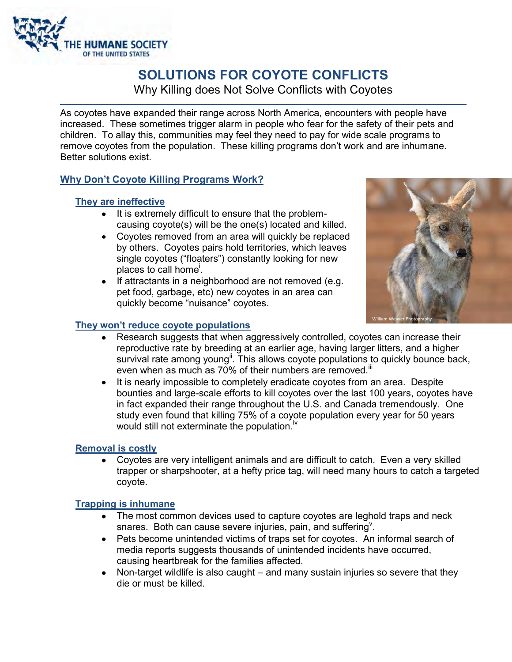

# **SOLUTIONS FOR COYOTE CONFLICTS**

Why Killing does Not Solve Conflicts with Coyotes

As coyotes have expanded their range across North America, encounters with people have increased. These sometimes trigger alarm in people who fear for the safety of their pets and children. To allay this, communities may feel they need to pay for wide scale programs to remove coyotes from the population. These killing programs don't work and are inhumane. Better solutions exist.

## **Why Don't Coyote Killing Programs Work?**

### **They are ineffective**

- It is extremely difficult to ensure that the problemcausing coyote(s) will be the one(s) located and killed.
- Coyotes removed from an area will quickly be replaced by others. Coyotes pairs hold territories, which leaves single coyotes ("floaters") constantly looking for new places to call home<sup>i</sup>.
- If attractants in a neighborhood are not removed (e.g. pet food, garbage, etc) new coyotes in an area can quickly become "nuisance" coyotes.



#### **They won't reduce coyote populations**

- Research suggests that when aggressively controlled, coyotes can increase their reproductive rate by breeding at an earlier age, having larger litters, and a higher survival rate among young<sup>ii</sup>. This allows coyote populations to quickly bounce back, even when as much as 70% of their numbers are removed.<sup>iii</sup>
- It is nearly impossible to completely eradicate coyotes from an area. Despite bounties and large-scale efforts to kill coyotes over the last 100 years, coyotes have in fact expanded their range throughout the U.S. and Canada tremendously. One study even found that killing 75% of a coyote population every year for 50 years would still not exterminate the population.<sup>iv</sup>

### **Removal is costly**

 Coyotes are very intelligent animals and are difficult to catch. Even a very skilled trapper or sharpshooter, at a hefty price tag, will need many hours to catch a targeted coyote.

### **Trapping is inhumane**

- The most common devices used to capture coyotes are leghold traps and neck snares. Both can cause severe injuries, pain, and suffering  $\mathbf{y}$ .
- Pets become unintended victims of traps set for coyotes. An informal search of media reports suggests thousands of unintended incidents have occurred, causing heartbreak for the families affected.
- Non-target wildlife is also caught and many sustain injuries so severe that they die or must be killed.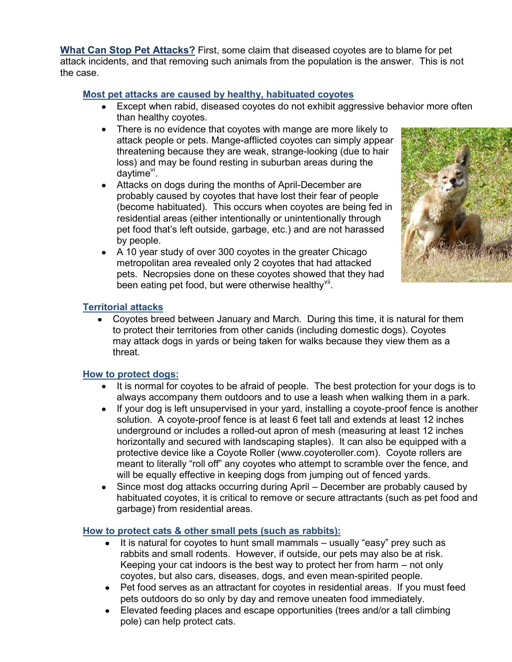**What Can Stop Pet Attacks?** First, some claim that diseased coyotes are to blame for pet attack incidents, and that removing such animals from the population is the answer. This is not the case.

## **Most pet attacks are caused by healthy, habituated coyotes**

- Except when rabid, diseased coyotes do not exhibit aggressive behavior more often than healthy coyotes.
- There is no evidence that coyotes with mange are more likely to attack people or pets. Mange-afflicted coyotes can simply appear threatening because they are weak, strange-looking (due to hair loss) and may be found resting in suburban areas during the daytime<sup>vi</sup>.
- Attacks on dogs during the months of April-December are probably caused by coyotes that have lost their fear of people (become habituated). This occurs when coyotes are being fed in residential areas (either intentionally or unintentionally through pet food that's left outside, garbage, etc.) and are not harassed by people.
- A 10 year study of over 300 coyotes in the greater Chicago metropolitan area revealed only 2 coyotes that had attacked pets. Necropsies done on these coyotes showed that they had been eating pet food, but were otherwise healthy vil.



### **Territorial attacks**

 Coyotes breed between January and March. During this time, it is natural for them to protect their territories from other canids (including domestic dogs). Coyotes may attack dogs in yards or being taken for walks because they view them as a threat.

### **How to protect dogs:**

- It is normal for coyotes to be afraid of people. The best protection for your dogs is to always accompany them outdoors and to use a leash when walking them in a park.
- If your dog is left unsupervised in your yard, installing a coyote-proof fence is another solution. A coyote-proof fence is at least 6 feet tall and extends at least 12 inches underground or includes a rolled-out apron of mesh (measuring at least 12 inches horizontally and secured with landscaping staples). It can also be equipped with a protective device like a Coyote Roller (www.coyoteroller.com). Coyote rollers are meant to literally "roll off" any coyotes who attempt to scramble over the fence, and will be equally effective in keeping dogs from jumping out of fenced yards.
- Since most dog attacks occurring during April December are probably caused by habituated coyotes, it is critical to remove or secure attractants (such as pet food and garbage) from residential areas.

### **How to protect cats & other small pets (such as rabbits):**

- $\bullet$  It is natural for coyotes to hunt small mammals usually "easy" prey such as rabbits and small rodents. However, if outside, our pets may also be at risk. Keeping your cat indoors is the best way to protect her from harm – not only coyotes, but also cars, diseases, dogs, and even mean-spirited people.
- Pet food serves as an attractant for coyotes in residential areas. If you must feed pets outdoors do so only by day and remove uneaten food immediately.
- Elevated feeding places and escape opportunities (trees and/or a tall climbing pole) can help protect cats.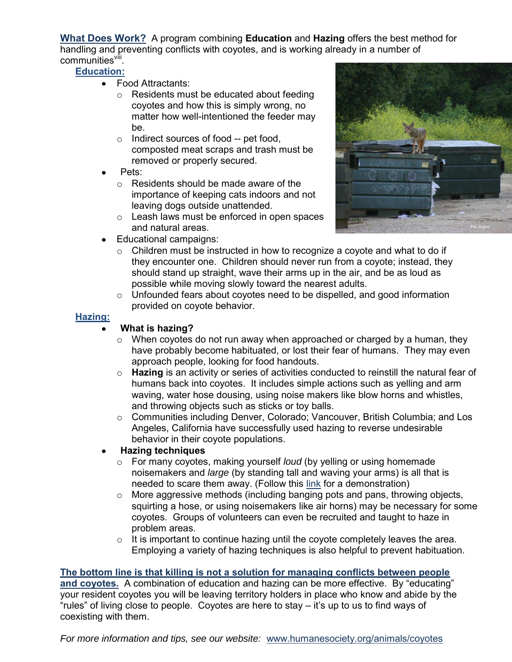**What Does Work?** A program combining **Education** and **Hazing** offers the best method for handling and preventing conflicts with coyotes, and is working already in a number of communities<sup>viii</sup>.

### **Education:**

- Food Attractants:
	- o Residents must be educated about feeding coyotes and how this is simply wrong, no matter how well-intentioned the feeder may be.
	- o Indirect sources of food -- pet food, composted meat scraps and trash must be removed or properly secured.
- Pets:
	- o Residents should be made aware of the importance of keeping cats indoors and not leaving dogs outside unattended.
	- o Leash laws must be enforced in open spaces and natural areas.



- Educational campaigns:
	- o Children must be instructed in how to recognize a coyote and what to do if they encounter one. Children should never run from a coyote; instead, they should stand up straight, wave their arms up in the air, and be as loud as possible while moving slowly toward the nearest adults.
	- o Unfounded fears about coyotes need to be dispelled, and good information provided on coyote behavior.

### **Hazing:**

## **What is hazing?**

- $\circ$  When coyotes do not run away when approached or charged by a human, they have probably become habituated, or lost their fear of humans. They may even approach people, looking for food handouts.
- o **Hazing** is an activity or series of activities conducted to reinstill the natural fear of humans back into coyotes. It includes simple actions such as yelling and arm waving, water hose dousing, using noise makers like blow horns and whistles, and throwing objects such as sticks or toy balls.
- o Communities including Denver, Colorado; Vancouver, British Columbia; and Los Angeles, California have successfully used hazing to reverse undesirable behavior in their coyote populations.

### **Hazing techniques**

- o For many coyotes, making yourself *loud* (by yelling or using homemade noisemakers and *large* (by standing tall and waving your arms) is all that is needed to scare them away. (Follow this [link](http://www.youtube.com/watch?v=EDm9wjfcdbw&feature=player_embedded)) for a demonstration)
- o More aggressive methods (including banging pots and pans, throwing objects, squirting a hose, or using noisemakers like air horns) may be necessary for some coyotes. Groups of volunteers can even be recruited and taught to haze in problem areas.
- $\circ$  It is important to continue hazing until the coyote completely leaves the area. Employing a variety of hazing techniques is also helpful to prevent habituation.

### **The bottom line is that killing is not a solution for managing conflicts between people**

**and coyotes.** A combination of education and hazing can be more effective. By "educating" your resident coyotes you will be leaving territory holders in place who know and abide by the "rules" of living close to people. Coyotes are here to stay – it's up to us to find ways of coexisting with them.

*For more information and tips, see our website:* [www.humanesociety.org/animals/coyotes](http://www.humanesociety.org/animals/coyotes)